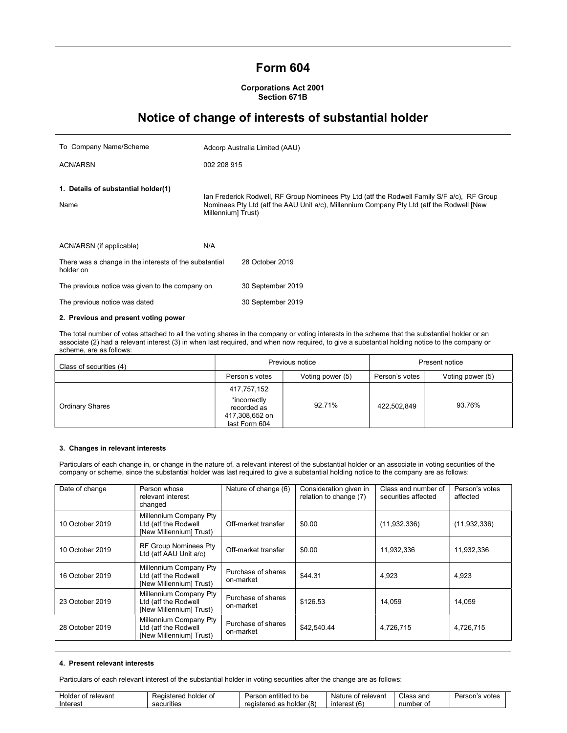## Form 604

## Corporations Act 2001 Section 671B

# Notice of change of interests of substantial holder

| To Company Name/Scheme                                              | Adcorp Australia Limited (AAU) |                                                                                                                                                                                          |  |
|---------------------------------------------------------------------|--------------------------------|------------------------------------------------------------------------------------------------------------------------------------------------------------------------------------------|--|
| <b>ACN/ARSN</b>                                                     | 002 208 915                    |                                                                                                                                                                                          |  |
| 1. Details of substantial holder(1)<br>Name                         | Millennium] Trust)             | lan Frederick Rodwell, RF Group Nominees Pty Ltd (atf the Rodwell Family S/F a/c), RF Group<br>Nominees Pty Ltd (atf the AAU Unit a/c), Millennium Company Pty Ltd (atf the Rodwell [New |  |
| ACN/ARSN (if applicable)                                            | N/A                            |                                                                                                                                                                                          |  |
| There was a change in the interests of the substantial<br>holder on |                                | 28 October 2019                                                                                                                                                                          |  |
| The previous notice was given to the company on                     |                                | 30 September 2019                                                                                                                                                                        |  |
| The previous notice was dated                                       |                                | 30 September 2019                                                                                                                                                                        |  |
| 2. Previous and present voting power                                |                                |                                                                                                                                                                                          |  |

The total number of votes attached to all the voting shares in the company or voting interests in the scheme that the substantial holder or an associate (2) had a relevant interest (3) in when last required, and when now required, to give a substantial holding notice to the company or scheme, are as follows:

| Class of securities (4) |                                                                               | Previous notice  | Present notice |                  |  |
|-------------------------|-------------------------------------------------------------------------------|------------------|----------------|------------------|--|
|                         | Person's votes                                                                | Voting power (5) | Person's votes | Voting power (5) |  |
| Ordinary Shares         | 417,757,152<br>*incorrectly<br>recorded as<br>417,308,652 on<br>last Form 604 | 92.71%           | 422,502,849    | 93.76%           |  |

## 3. Changes in relevant interests

Particulars of each change in, or change in the nature of, a relevant interest of the substantial holder or an associate in voting securities of the company or scheme, since the substantial holder was last required to give a substantial holding notice to the company are as follows:

| Date of change  | Person whose<br>relevant interest<br>changed                              | Nature of change (6)            | Consideration given in<br>relation to change (7) | Class and number of<br>securities affected | Person's votes<br>affected |
|-----------------|---------------------------------------------------------------------------|---------------------------------|--------------------------------------------------|--------------------------------------------|----------------------------|
| 10 October 2019 | Millennium Company Pty<br>Ltd (atf the Rodwell<br>[New Millennium] Trust) | Off-market transfer             | \$0.00                                           | (11, 932, 336)                             | (11, 932, 336)             |
| 10 October 2019 | <b>RF Group Nominees Pty</b><br>Ltd (atf AAU Unit a/c)                    | Off-market transfer             | \$0.00                                           | 11,932,336                                 | 11,932,336                 |
| 16 October 2019 | Millennium Company Pty<br>Ltd (atf the Rodwell<br>[New Millennium] Trust) | Purchase of shares<br>on-market | \$44.31                                          | 4.923                                      | 4.923                      |
| 23 October 2019 | Millennium Company Pty<br>Ltd (atf the Rodwell<br>[New Millennium] Trust) | Purchase of shares<br>on-market | \$126.53                                         | 14.059                                     | 14.059                     |
| 28 October 2019 | Millennium Company Pty<br>Ltd (atf the Rodwell<br>[New Millennium] Trust) | Purchase of shares<br>on-market | \$42,540.44                                      | 4.726.715                                  | 4,726,715                  |

## 4. Present relevant interests

Particulars of each relevant interest of the substantial holder in voting securities after the change are as follows:

| Holder of relevant | Registered<br>holder of | Person entitled to be    | Nature of relevant | Class and | votes<br>Person's |
|--------------------|-------------------------|--------------------------|--------------------|-----------|-------------------|
| Interest           | securities              | registered as holder (8) | interest (6)       | number of |                   |